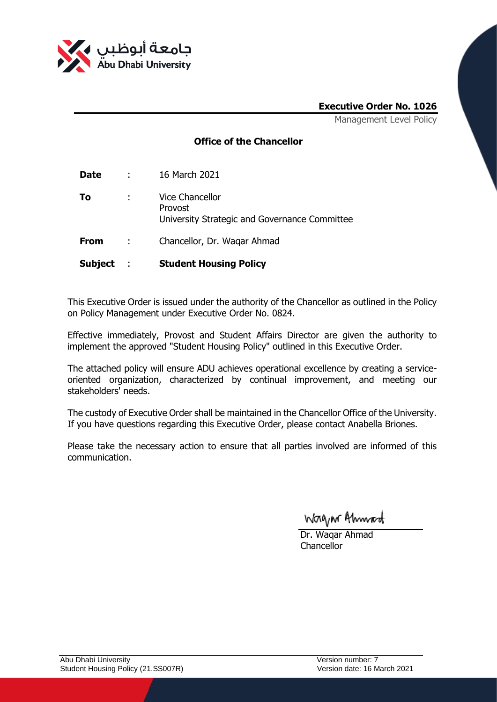

## **Executive Order No. 1026**

Management Level Policy

## **Office of the Chancellor**

| <b>Date</b> | $\mathcal{L}^{\text{max}}$ | 16 March 2021                                                               |
|-------------|----------------------------|-----------------------------------------------------------------------------|
| Τo          |                            | Vice Chancellor<br>Provost<br>University Strategic and Governance Committee |
| <b>From</b> | $\sim 10^{-11}$            | Chancellor, Dr. Wagar Ahmad                                                 |

**Subject** : **Student Housing Policy**

This Executive Order is issued under the authority of the Chancellor as outlined in the Policy on Policy Management under Executive Order No. 0824.

Effective immediately, Provost and Student Affairs Director are given the authority to implement the approved "Student Housing Policy" outlined in this Executive Order.

The attached policy will ensure ADU achieves operational excellence by creating a serviceoriented organization, characterized by continual improvement, and meeting our stakeholders' needs.

The custody of Executive Order shall be maintained in the Chancellor Office of the University. If you have questions regarding this Executive Order, please contact Anabella Briones.

Please take the necessary action to ensure that all parties involved are informed of this communication.

Wagn Ahmad

Dr. Waqar Ahmad Chancellor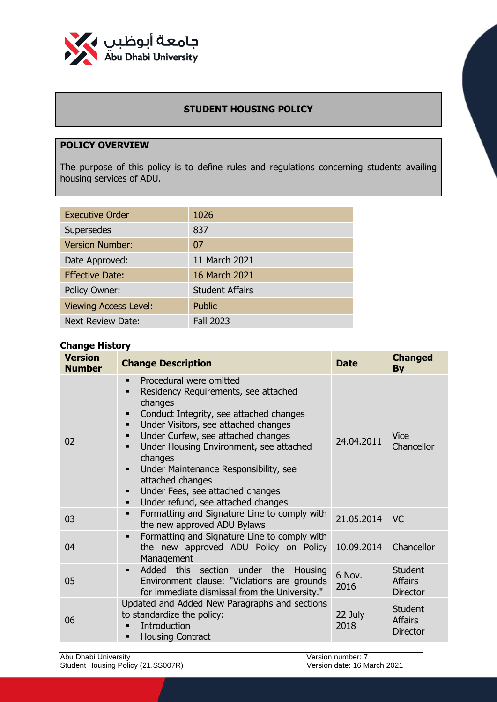

# **STUDENT HOUSING POLICY**

# **POLICY OVERVIEW**

The purpose of this policy is to define rules and regulations concerning students availing housing services of ADU.

| <b>Executive Order</b>       | 1026                   |
|------------------------------|------------------------|
| Supersedes                   | 837                    |
| <b>Version Number:</b>       | 07                     |
| Date Approved:               | 11 March 2021          |
| <b>Effective Date:</b>       | 16 March 2021          |
| Policy Owner:                | <b>Student Affairs</b> |
| <b>Viewing Access Level:</b> | <b>Public</b>          |
| <b>Next Review Date:</b>     | <b>Fall 2023</b>       |

## **Change History**

| <b>Version</b><br><b>Number</b> | <b>Change Description</b>                                                                                                                                                                                                                                                                                                                                                                                                         | <b>Date</b>     | <b>Changed</b><br><b>By</b>                         |
|---------------------------------|-----------------------------------------------------------------------------------------------------------------------------------------------------------------------------------------------------------------------------------------------------------------------------------------------------------------------------------------------------------------------------------------------------------------------------------|-----------------|-----------------------------------------------------|
| 02                              | Procedural were omitted<br>Residency Requirements, see attached<br>changes<br>Conduct Integrity, see attached changes<br>٠<br>Under Visitors, see attached changes<br>Under Curfew, see attached changes<br>■<br>Under Housing Environment, see attached<br>changes<br>Under Maintenance Responsibility, see<br>$\blacksquare$<br>attached changes<br>Under Fees, see attached changes<br>Under refund, see attached changes<br>٠ | 24.04.2011      | <b>Vice</b><br>Chancellor                           |
| 03                              | Formatting and Signature Line to comply with<br>$\blacksquare$<br>the new approved ADU Bylaws                                                                                                                                                                                                                                                                                                                                     | 21.05.2014      | VC.                                                 |
| 04                              | Formatting and Signature Line to comply with<br>the new approved ADU Policy on Policy<br>Management                                                                                                                                                                                                                                                                                                                               | 10.09.2014      | Chancellor                                          |
| 05                              | Added<br>this section under the<br>Housing<br>$\blacksquare$<br>Environment clause: "Violations are grounds<br>for immediate dismissal from the University."                                                                                                                                                                                                                                                                      | 6 Nov.<br>2016  | <b>Student</b><br><b>Affairs</b><br><b>Director</b> |
| 06                              | Updated and Added New Paragraphs and sections<br>to standardize the policy:<br>Introduction<br><b>Housing Contract</b>                                                                                                                                                                                                                                                                                                            | 22 July<br>2018 | <b>Student</b><br><b>Affairs</b><br><b>Director</b> |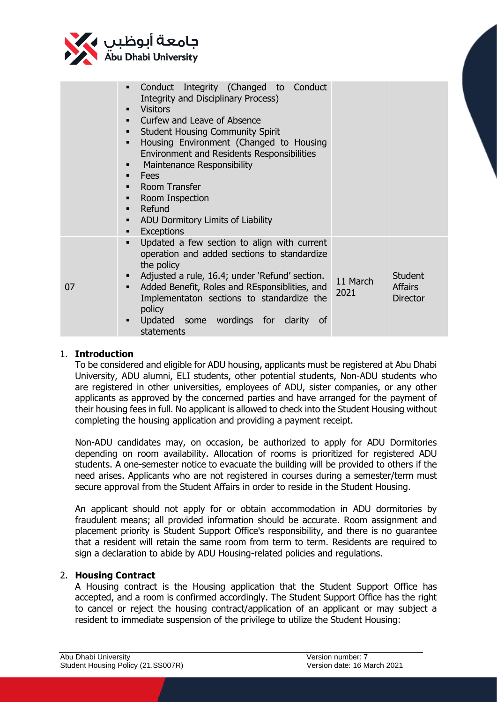

|    | Conduct Integrity (Changed to Conduct<br>$\blacksquare$<br><b>Integrity and Disciplinary Process)</b><br><b>Visitors</b><br>$\blacksquare$<br>Curfew and Leave of Absence<br>$\blacksquare$<br><b>Student Housing Community Spirit</b><br>$\blacksquare$<br>Housing Environment (Changed to Housing<br>$\blacksquare$<br><b>Environment and Residents Responsibilities</b><br>Maintenance Responsibility<br>٠<br>Fees<br>٠<br>Room Transfer<br>$\blacksquare$<br>Room Inspection<br>٠<br>Refund<br>$\blacksquare$<br>ADU Dormitory Limits of Liability<br>٠<br><b>Exceptions</b><br>٠ |                  |                                                     |
|----|---------------------------------------------------------------------------------------------------------------------------------------------------------------------------------------------------------------------------------------------------------------------------------------------------------------------------------------------------------------------------------------------------------------------------------------------------------------------------------------------------------------------------------------------------------------------------------------|------------------|-----------------------------------------------------|
| 07 | Updated a few section to align with current<br>$\blacksquare$<br>operation and added sections to standardize<br>the policy<br>Adjusted a rule, 16.4; under 'Refund' section.<br>٠<br>Added Benefit, Roles and REsponsiblities, and<br>$\blacksquare$<br>Implementaton sections to standardize the<br>policy<br>Updated some wordings for clarity<br>of<br>٠<br>statements                                                                                                                                                                                                             | 11 March<br>2021 | <b>Student</b><br><b>Affairs</b><br><b>Director</b> |

#### 1. **Introduction**

To be considered and eligible for ADU housing, applicants must be registered at Abu Dhabi University, ADU alumni, ELI students, other potential students, Non-ADU students who are registered in other universities, employees of ADU, sister companies, or any other applicants as approved by the concerned parties and have arranged for the payment of their housing fees in full. No applicant is allowed to check into the Student Housing without completing the housing application and providing a payment receipt.

Non-ADU candidates may, on occasion, be authorized to apply for ADU Dormitories depending on room availability. Allocation of rooms is prioritized for registered ADU students. A one-semester notice to evacuate the building will be provided to others if the need arises. Applicants who are not registered in courses during a semester/term must secure approval from the Student Affairs in order to reside in the Student Housing.

An applicant should not apply for or obtain accommodation in ADU dormitories by fraudulent means; all provided information should be accurate. Room assignment and placement priority is Student Support Office's responsibility, and there is no guarantee that a resident will retain the same room from term to term. Residents are required to sign a declaration to abide by ADU Housing-related policies and regulations.

#### 2. **Housing Contract**

A Housing contract is the Housing application that the Student Support Office has accepted, and a room is confirmed accordingly. The Student Support Office has the right to cancel or reject the housing contract/application of an applicant or may subject a resident to immediate suspension of the privilege to utilize the Student Housing: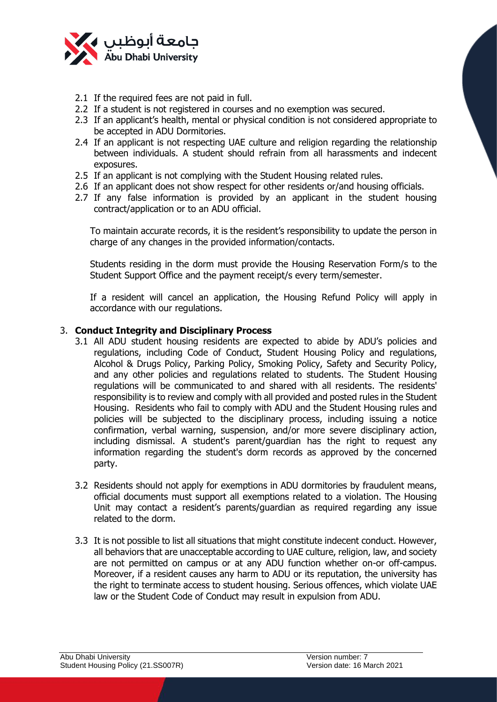

- 2.1 If the required fees are not paid in full.
- 2.2 If a student is not registered in courses and no exemption was secured.
- 2.3 If an applicant's health, mental or physical condition is not considered appropriate to be accepted in ADU Dormitories.
- 2.4 If an applicant is not respecting UAE culture and religion regarding the relationship between individuals. A student should refrain from all harassments and indecent exposures.
- 2.5 If an applicant is not complying with the Student Housing related rules.
- 2.6 If an applicant does not show respect for other residents or/and housing officials.
- 2.7 If any false information is provided by an applicant in the student housing contract/application or to an ADU official.

To maintain accurate records, it is the resident's responsibility to update the person in charge of any changes in the provided information/contacts.

Students residing in the dorm must provide the Housing Reservation Form/s to the Student Support Office and the payment receipt/s every term/semester.

If a resident will cancel an application, the Housing Refund Policy will apply in accordance with our regulations.

#### 3. **Conduct Integrity and Disciplinary Process**

- 3.1 All ADU student housing residents are expected to abide by ADU's policies and regulations, including Code of Conduct, Student Housing Policy and regulations, Alcohol & Drugs Policy, Parking Policy, Smoking Policy, Safety and Security Policy, and any other policies and regulations related to students. The Student Housing regulations will be communicated to and shared with all residents. The residents' responsibility is to review and comply with all provided and posted rules in the Student Housing. Residents who fail to comply with ADU and the Student Housing rules and policies will be subjected to the disciplinary process, including issuing a notice confirmation, verbal warning, suspension, and/or more severe disciplinary action, including dismissal. A student's parent/guardian has the right to request any information regarding the student's dorm records as approved by the concerned party.
- 3.2 Residents should not apply for exemptions in ADU dormitories by fraudulent means, official documents must support all exemptions related to a violation. The Housing Unit may contact a resident's parents/guardian as required regarding any issue related to the dorm.
- 3.3 It is not possible to list all situations that might constitute indecent conduct. However, all behaviors that are unacceptable according to UAE culture, religion, law, and society are not permitted on campus or at any ADU function whether on-or off-campus. Moreover, if a resident causes any harm to ADU or its reputation, the university has the right to terminate access to student housing. Serious offences, which violate UAE law or the Student Code of Conduct may result in expulsion from ADU.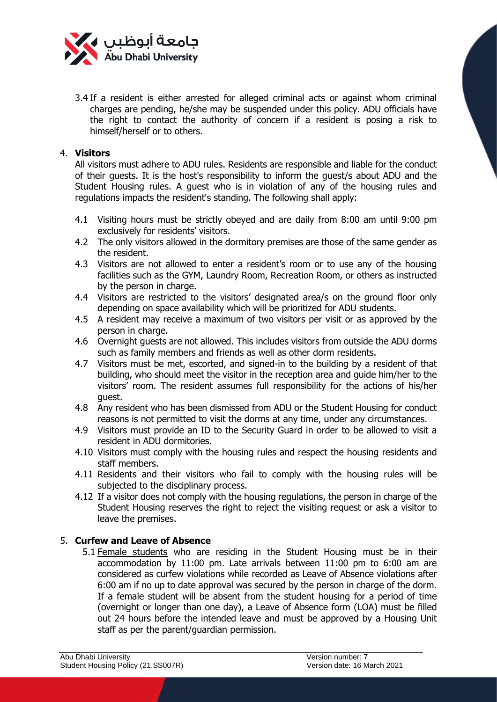

3.4 If a resident is either arrested for alleged criminal acts or against whom criminal charges are pending, he/she may be suspended under this policy. ADU officials have the right to contact the authority of concern if a resident is posing a risk to himself/herself or to others.

#### 4. **Visitors**

All visitors must adhere to ADU rules. Residents are responsible and liable for the conduct of their guests. It is the host's responsibility to inform the guest/s about ADU and the Student Housing rules. A guest who is in violation of any of the housing rules and regulations impacts the resident's standing. The following shall apply:

- 4.1 Visiting hours must be strictly obeyed and are daily from 8:00 am until 9:00 pm exclusively for residents' visitors.
- 4.2 The only visitors allowed in the dormitory premises are those of the same gender as the resident.
- 4.3 Visitors are not allowed to enter a resident's room or to use any of the housing facilities such as the GYM, Laundry Room, Recreation Room, or others as instructed by the person in charge.
- 4.4 Visitors are restricted to the visitors' designated area/s on the ground floor only depending on space availability which will be prioritized for ADU students.
- 4.5 A resident may receive a maximum of two visitors per visit or as approved by the person in charge.
- 4.6 Overnight guests are not allowed. This includes visitors from outside the ADU dorms such as family members and friends as well as other dorm residents.
- 4.7 Visitors must be met, escorted, and signed-in to the building by a resident of that building, who should meet the visitor in the reception area and guide him/her to the visitors' room. The resident assumes full responsibility for the actions of his/her guest.
- 4.8 Any resident who has been dismissed from ADU or the Student Housing for conduct reasons is not permitted to visit the dorms at any time, under any circumstances.
- 4.9 Visitors must provide an ID to the Security Guard in order to be allowed to visit a resident in ADU dormitories.
- 4.10 Visitors must comply with the housing rules and respect the housing residents and staff members.
- 4.11 Residents and their visitors who fail to comply with the housing rules will be subjected to the disciplinary process.
- 4.12 If a visitor does not comply with the housing regulations, the person in charge of the Student Housing reserves the right to reject the visiting request or ask a visitor to leave the premises.

#### 5. **Curfew and Leave of Absence**

5.1 Female students who are residing in the Student Housing must be in their accommodation by 11:00 pm. Late arrivals between 11:00 pm to 6:00 am are considered as curfew violations while recorded as Leave of Absence violations after 6:00 am if no up to date approval was secured by the person in charge of the dorm. If a female student will be absent from the student housing for a period of time (overnight or longer than one day), a Leave of Absence form (LOA) must be filled out 24 hours before the intended leave and must be approved by a Housing Unit staff as per the parent/guardian permission.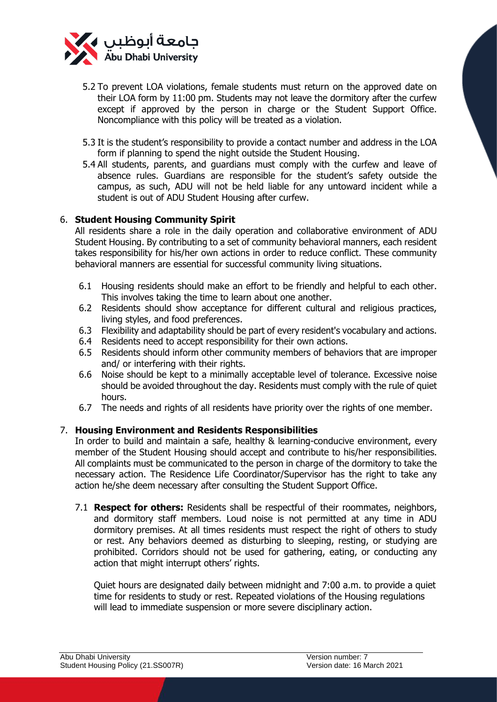

- 5.2 To prevent LOA violations, female students must return on the approved date on their LOA form by 11:00 pm. Students may not leave the dormitory after the curfew except if approved by the person in charge or the Student Support Office. Noncompliance with this policy will be treated as a violation.
- 5.3 It is the student's responsibility to provide a contact number and address in the LOA form if planning to spend the night outside the Student Housing.
- 5.4 All students, parents, and guardians must comply with the curfew and leave of absence rules. Guardians are responsible for the student's safety outside the campus, as such, ADU will not be held liable for any untoward incident while a student is out of ADU Student Housing after curfew.

### 6. **Student Housing Community Spirit**

All residents share a role in the daily operation and collaborative environment of ADU Student Housing. By contributing to a set of community behavioral manners, each resident takes responsibility for his/her own actions in order to reduce conflict. These community behavioral manners are essential for successful community living situations.

- 6.1 Housing residents should make an effort to be friendly and helpful to each other. This involves taking the time to learn about one another.
- 6.2 Residents should show acceptance for different cultural and religious practices, living styles, and food preferences.
- 6.3 Flexibility and adaptability should be part of every resident's vocabulary and actions.
- 6.4 Residents need to accept responsibility for their own actions.
- 6.5 Residents should inform other community members of behaviors that are improper and/ or interfering with their rights.
- 6.6 Noise should be kept to a minimally acceptable level of tolerance. Excessive noise should be avoided throughout the day. Residents must comply with the rule of quiet hours.
- 6.7 The needs and rights of all residents have priority over the rights of one member.

## 7. **Housing Environment and Residents Responsibilities**

In order to build and maintain a safe, healthy & learning-conducive environment, every member of the Student Housing should accept and contribute to his/her responsibilities. All complaints must be communicated to the person in charge of the dormitory to take the necessary action. The Residence Life Coordinator/Supervisor has the right to take any action he/she deem necessary after consulting the Student Support Office.

7.1 **Respect for others:** Residents shall be respectful of their roommates, neighbors, and dormitory staff members. Loud noise is not permitted at any time in ADU dormitory premises. At all times residents must respect the right of others to study or rest. Any behaviors deemed as disturbing to sleeping, resting, or studying are prohibited. Corridors should not be used for gathering, eating, or conducting any action that might interrupt others' rights.

Quiet hours are designated daily between midnight and 7:00 a.m. to provide a quiet time for residents to study or rest. Repeated violations of the Housing regulations will lead to immediate suspension or more severe disciplinary action.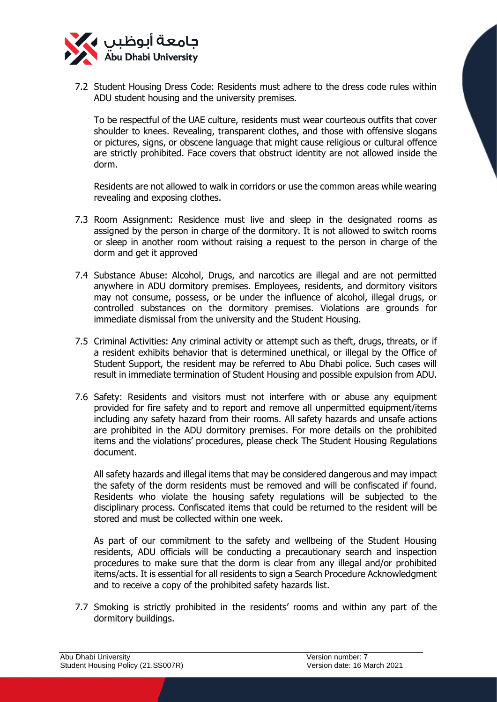

7.2 Student Housing Dress Code: Residents must adhere to the dress code rules within ADU student housing and the university premises.

To be respectful of the UAE culture, residents must wear courteous outfits that cover shoulder to knees. Revealing, transparent clothes, and those with offensive slogans or pictures, signs, or obscene language that might cause religious or cultural offence are strictly prohibited. Face covers that obstruct identity are not allowed inside the dorm.

Residents are not allowed to walk in corridors or use the common areas while wearing revealing and exposing clothes.

- 7.3 Room Assignment: Residence must live and sleep in the designated rooms as assigned by the person in charge of the dormitory. It is not allowed to switch rooms or sleep in another room without raising a request to the person in charge of the dorm and get it approved
- 7.4 Substance Abuse: Alcohol, Drugs, and narcotics are illegal and are not permitted anywhere in ADU dormitory premises. Employees, residents, and dormitory visitors may not consume, possess, or be under the influence of alcohol, illegal drugs, or controlled substances on the dormitory premises. Violations are grounds for immediate dismissal from the university and the Student Housing.
- 7.5 Criminal Activities: Any criminal activity or attempt such as theft, drugs, threats, or if a resident exhibits behavior that is determined unethical, or illegal by the Office of Student Support, the resident may be referred to Abu Dhabi police. Such cases will result in immediate termination of Student Housing and possible expulsion from ADU.
- 7.6 Safety: Residents and visitors must not interfere with or abuse any equipment provided for fire safety and to report and remove all unpermitted equipment/items including any safety hazard from their rooms. All safety hazards and unsafe actions are prohibited in the ADU dormitory premises. For more details on the prohibited items and the violations' procedures, please check The Student Housing Regulations document.

All safety hazards and illegal items that may be considered dangerous and may impact the safety of the dorm residents must be removed and will be confiscated if found. Residents who violate the housing safety regulations will be subjected to the disciplinary process. Confiscated items that could be returned to the resident will be stored and must be collected within one week.

As part of our commitment to the safety and wellbeing of the Student Housing residents, ADU officials will be conducting a precautionary search and inspection procedures to make sure that the dorm is clear from any illegal and/or prohibited items/acts. It is essential for all residents to sign a Search Procedure Acknowledgment and to receive a copy of the prohibited safety hazards list.

7.7 Smoking is strictly prohibited in the residents' rooms and within any part of the dormitory buildings.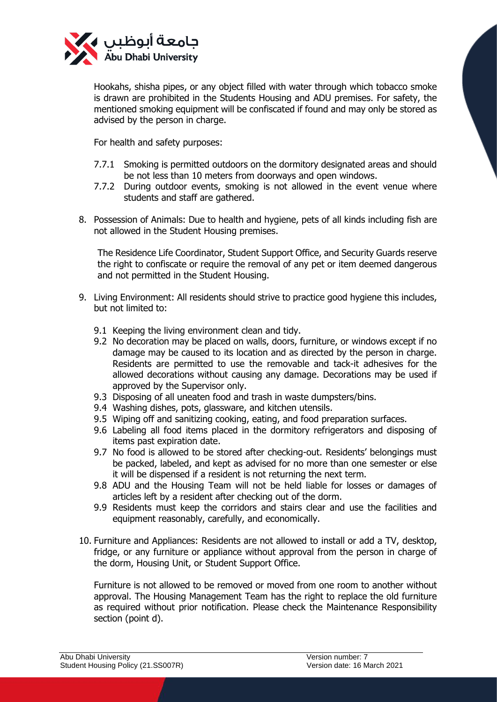

Hookahs, shisha pipes, or any object filled with water through which tobacco smoke is drawn are prohibited in the Students Housing and ADU premises. For safety, the mentioned smoking equipment will be confiscated if found and may only be stored as advised by the person in charge.

For health and safety purposes:

- 7.7.1 Smoking is permitted outdoors on the dormitory designated areas and should be not less than 10 meters from doorways and open windows.
- 7.7.2 During outdoor events, smoking is not allowed in the event venue where students and staff are gathered.
- 8. Possession of Animals: Due to health and hygiene, pets of all kinds including fish are not allowed in the Student Housing premises.

The Residence Life Coordinator, Student Support Office, and Security Guards reserve the right to confiscate or require the removal of any pet or item deemed dangerous and not permitted in the Student Housing.

- 9. Living Environment: All residents should strive to practice good hygiene this includes, but not limited to:
	- 9.1 Keeping the living environment clean and tidy.
	- 9.2 No decoration may be placed on walls, doors, furniture, or windows except if no damage may be caused to its location and as directed by the person in charge. Residents are permitted to use the removable and tack-it adhesives for the allowed decorations without causing any damage. Decorations may be used if approved by the Supervisor only.
	- 9.3 Disposing of all uneaten food and trash in waste dumpsters/bins.
	- 9.4 Washing dishes, pots, glassware, and kitchen utensils.
	- 9.5 Wiping off and sanitizing cooking, eating, and food preparation surfaces.
	- 9.6 Labeling all food items placed in the dormitory refrigerators and disposing of items past expiration date.
	- 9.7 No food is allowed to be stored after checking-out. Residents' belongings must be packed, labeled, and kept as advised for no more than one semester or else it will be dispensed if a resident is not returning the next term.
	- 9.8 ADU and the Housing Team will not be held liable for losses or damages of articles left by a resident after checking out of the dorm.
	- 9.9 Residents must keep the corridors and stairs clear and use the facilities and equipment reasonably, carefully, and economically.
- 10. Furniture and Appliances: Residents are not allowed to install or add a TV, desktop, fridge, or any furniture or appliance without approval from the person in charge of the dorm, Housing Unit, or Student Support Office.

Furniture is not allowed to be removed or moved from one room to another without approval. The Housing Management Team has the right to replace the old furniture as required without prior notification. Please check the Maintenance Responsibility section (point d).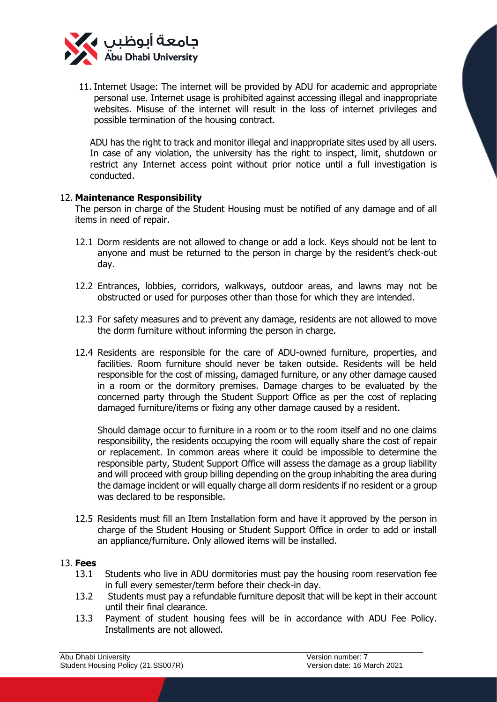

11. Internet Usage: The internet will be provided by ADU for academic and appropriate personal use. Internet usage is prohibited against accessing illegal and inappropriate websites. Misuse of the internet will result in the loss of internet privileges and possible termination of the housing contract.

ADU has the right to track and monitor illegal and inappropriate sites used by all users. In case of any violation, the university has the right to inspect, limit, shutdown or restrict any Internet access point without prior notice until a full investigation is conducted.

### 12. **Maintenance Responsibility**

The person in charge of the Student Housing must be notified of any damage and of all items in need of repair.

- 12.1 Dorm residents are not allowed to change or add a lock. Keys should not be lent to anyone and must be returned to the person in charge by the resident's check-out day.
- 12.2 Entrances, lobbies, corridors, walkways, outdoor areas, and lawns may not be obstructed or used for purposes other than those for which they are intended.
- 12.3 For safety measures and to prevent any damage, residents are not allowed to move the dorm furniture without informing the person in charge.
- 12.4 Residents are responsible for the care of ADU-owned furniture, properties, and facilities. Room furniture should never be taken outside. Residents will be held responsible for the cost of missing, damaged furniture, or any other damage caused in a room or the dormitory premises. Damage charges to be evaluated by the concerned party through the Student Support Office as per the cost of replacing damaged furniture/items or fixing any other damage caused by a resident.

Should damage occur to furniture in a room or to the room itself and no one claims responsibility, the residents occupying the room will equally share the cost of repair or replacement. In common areas where it could be impossible to determine the responsible party, Student Support Office will assess the damage as a group liability and will proceed with group billing depending on the group inhabiting the area during the damage incident or will equally charge all dorm residents if no resident or a group was declared to be responsible.

12.5 Residents must fill an Item Installation form and have it approved by the person in charge of the Student Housing or Student Support Office in order to add or install an appliance/furniture. Only allowed items will be installed.

#### 13. **Fees**

- 13.1 Students who live in ADU dormitories must pay the housing room reservation fee in full every semester/term before their check-in day.
- 13.2 Students must pay a refundable furniture deposit that will be kept in their account until their final clearance.
- 13.3 Payment of student housing fees will be in accordance with ADU Fee Policy. Installments are not allowed.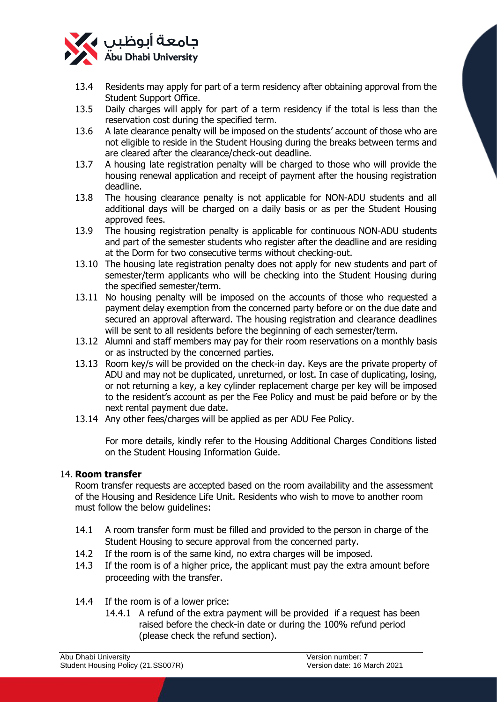

- 13.4 Residents may apply for part of a term residency after obtaining approval from the Student Support Office.
- 13.5 Daily charges will apply for part of a term residency if the total is less than the reservation cost during the specified term.
- 13.6 A late clearance penalty will be imposed on the students' account of those who are not eligible to reside in the Student Housing during the breaks between terms and are cleared after the clearance/check-out deadline.
- 13.7 A housing late registration penalty will be charged to those who will provide the housing renewal application and receipt of payment after the housing registration deadline.
- 13.8 The housing clearance penalty is not applicable for NON-ADU students and all additional days will be charged on a daily basis or as per the Student Housing approved fees.
- 13.9 The housing registration penalty is applicable for continuous NON-ADU students and part of the semester students who register after the deadline and are residing at the Dorm for two consecutive terms without checking-out.
- 13.10 The housing late registration penalty does not apply for new students and part of semester/term applicants who will be checking into the Student Housing during the specified semester/term.
- 13.11 No housing penalty will be imposed on the accounts of those who requested a payment delay exemption from the concerned party before or on the due date and secured an approval afterward. The housing registration and clearance deadlines will be sent to all residents before the beginning of each semester/term.
- 13.12 Alumni and staff members may pay for their room reservations on a monthly basis or as instructed by the concerned parties.
- 13.13 Room key/s will be provided on the check-in day. Keys are the private property of ADU and may not be duplicated, unreturned, or lost. In case of duplicating, losing, or not returning a key, a key cylinder replacement charge per key will be imposed to the resident's account as per the Fee Policy and must be paid before or by the next rental payment due date.
- 13.14 Any other fees/charges will be applied as per ADU Fee Policy.

For more details, kindly refer to the Housing Additional Charges Conditions listed on the Student Housing Information Guide.

## 14. **Room transfer**

Room transfer requests are accepted based on the room availability and the assessment of the Housing and Residence Life Unit. Residents who wish to move to another room must follow the below guidelines:

- 14.1 A room transfer form must be filled and provided to the person in charge of the Student Housing to secure approval from the concerned party.
- 14.2 If the room is of the same kind, no extra charges will be imposed.
- 14.3 If the room is of a higher price, the applicant must pay the extra amount before proceeding with the transfer.
- 14.4 If the room is of a lower price:
	- 14.4.1 A refund of the extra payment will be provided if a request has been raised before the check-in date or during the 100% refund period (please check the refund section).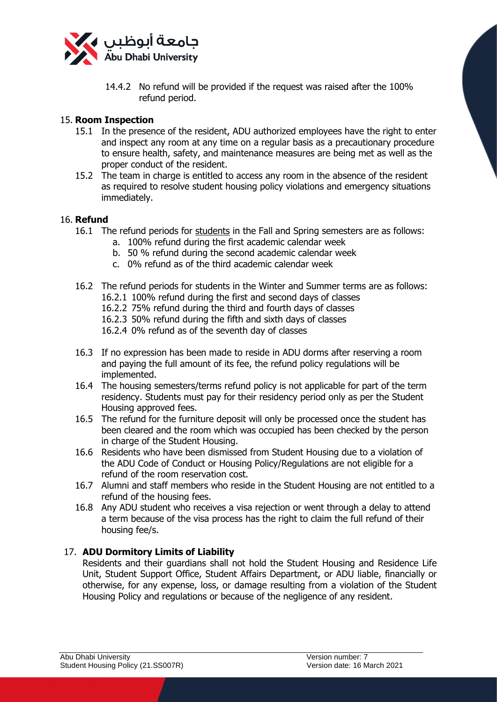

14.4.2 No refund will be provided if the request was raised after the 100% refund period.

### 15. **Room Inspection**

- 15.1 In the presence of the resident, ADU authorized employees have the right to enter and inspect any room at any time on a regular basis as a precautionary procedure to ensure health, safety, and maintenance measures are being met as well as the proper conduct of the resident.
- 15.2 The team in charge is entitled to access any room in the absence of the resident as required to resolve student housing policy violations and emergency situations immediately.

#### 16. **Refund**

- 16.1 The refund periods for students in the Fall and Spring semesters are as follows:
	- a. 100% refund during the first academic calendar week
		- b. 50 % refund during the second academic calendar week
	- c. 0% refund as of the third academic calendar week
- 16.2 The refund periods for students in the Winter and Summer terms are as follows: 16.2.1 100% refund during the first and second days of classes
	- 16.2.2 75% refund during the third and fourth days of classes
	- 16.2.3 50% refund during the fifth and sixth days of classes

16.2.4 0% refund as of the seventh day of classes

- 16.3 If no expression has been made to reside in ADU dorms after reserving a room and paying the full amount of its fee, the refund policy regulations will be implemented.
- 16.4 The housing semesters/terms refund policy is not applicable for part of the term residency. Students must pay for their residency period only as per the Student Housing approved fees.
- 16.5 The refund for the furniture deposit will only be processed once the student has been cleared and the room which was occupied has been checked by the person in charge of the Student Housing.
- 16.6 Residents who have been dismissed from Student Housing due to a violation of the ADU Code of Conduct or Housing Policy/Regulations are not eligible for a refund of the room reservation cost.
- 16.7 Alumni and staff members who reside in the Student Housing are not entitled to a refund of the housing fees.
- 16.8 Any ADU student who receives a visa rejection or went through a delay to attend a term because of the visa process has the right to claim the full refund of their housing fee/s.

## 17. **ADU Dormitory Limits of Liability**

Residents and their guardians shall not hold the Student Housing and Residence Life Unit, Student Support Office, Student Affairs Department, or ADU liable, financially or otherwise, for any expense, loss, or damage resulting from a violation of the Student Housing Policy and regulations or because of the negligence of any resident.